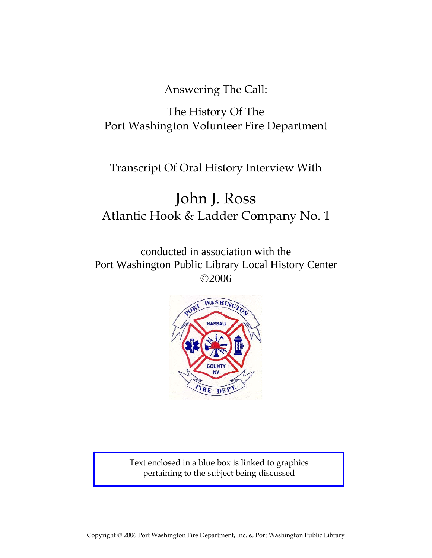Answering The Call:

# The History Of The Port Washington Volunteer Fire Department

# Transcript Of Oral History Interview With

# John J. Ross Atlantic Hook & Ladder Company No. 1

conducted in association with the Port Washington Public Library Local History Center ©2006



Text enclosed in a blue box is linked to graphics pertaining to the subject being discussed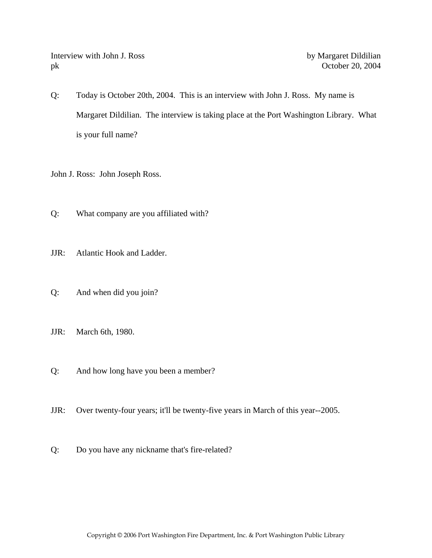Interview with John J. Ross by Margaret Dildilian pk October 20, 2004

Q: Today is October 20th, 2004. This is an interview with John J. Ross. My name is Margaret Dildilian. The interview is taking place at the Port Washington Library. What is your full name?

John J. Ross: John Joseph Ross.

- Q: What company are you affiliated with?
- JJR: Atlantic Hook and Ladder.
- Q: And when did you join?
- JJR: March 6th, 1980.
- Q: And how long have you been a member?
- JJR: Over twenty-four years; it'll be twenty-five years in March of this year--2005.
- Q: Do you have any nickname that's fire-related?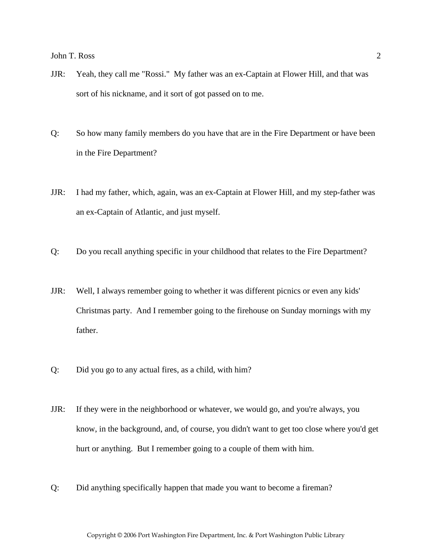- JJR: Yeah, they call me "Rossi." My father was an ex-Captain at Flower Hill, and that was sort of his nickname, and it sort of got passed on to me.
- Q: So how many family members do you have that are in the Fire Department or have been in the Fire Department?
- JJR: I had my father, which, again, was an ex-Captain at Flower Hill, and my step-father was an ex-Captain of Atlantic, and just myself.
- Q: Do you recall anything specific in your childhood that relates to the Fire Department?
- JJR: Well, I always remember going to whether it was different picnics or even any kids' Christmas party. And I remember going to the firehouse on Sunday mornings with my father.
- Q: Did you go to any actual fires, as a child, with him?
- JJR: If they were in the neighborhood or whatever, we would go, and you're always, you know, in the background, and, of course, you didn't want to get too close where you'd get hurt or anything. But I remember going to a couple of them with him.
- Q: Did anything specifically happen that made you want to become a fireman?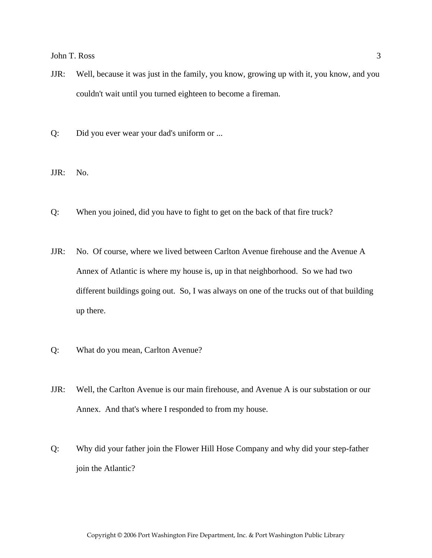- JJR: Well, because it was just in the family, you know, growing up with it, you know, and you couldn't wait until you turned eighteen to become a fireman.
- Q: Did you ever wear your dad's uniform or ...
- JJR: No.
- Q: When you joined, did you have to fight to get on the back of that fire truck?
- JJR: No. Of course, where we lived between Carlton Avenue firehouse and the Avenue A Annex of Atlantic is where my house is, up in that neighborhood. So we had two different buildings going out. So, I was always on one of the trucks out of that building up there.
- Q: What do you mean, Carlton Avenue?
- JJR: Well, the Carlton Avenue is our main firehouse, and Avenue A is our substation or our Annex. And that's where I responded to from my house.
- Q: Why did your father join the Flower Hill Hose Company and why did your step-father join the Atlantic?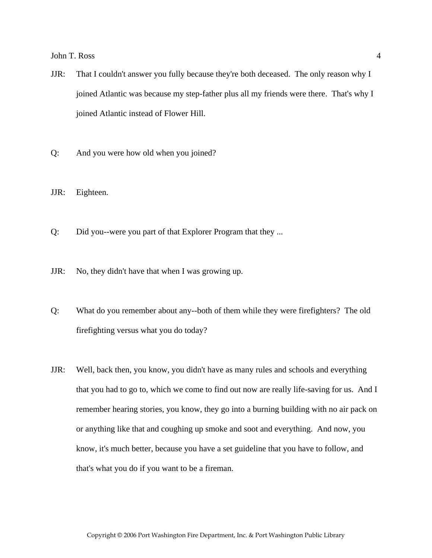- JJR: That I couldn't answer you fully because they're both deceased. The only reason why I joined Atlantic was because my step-father plus all my friends were there. That's why I joined Atlantic instead of Flower Hill.
- Q: And you were how old when you joined?

JJR: Eighteen.

- Q: Did you--were you part of that Explorer Program that they ...
- JJR: No, they didn't have that when I was growing up.
- Q: What do you remember about any--both of them while they were firefighters? The old firefighting versus what you do today?
- JJR: Well, back then, you know, you didn't have as many rules and schools and everything that you had to go to, which we come to find out now are really life-saving for us. And I remember hearing stories, you know, they go into a burning building with no air pack on or anything like that and coughing up smoke and soot and everything. And now, you know, it's much better, because you have a set guideline that you have to follow, and that's what you do if you want to be a fireman.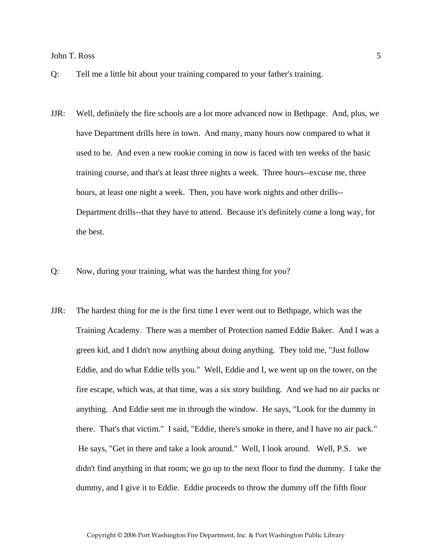- Q: Tell me a little bit about your training compared to your father's training.
- JJR: Well, definitely the fire schools are a lot more advanced now in Bethpage. And, plus, we have Department drills here in town. And many, many hours now compared to what it used to be. And even a new rookie coming in now is faced with ten weeks of the basic training course, and that's at least three nights a week. Three hours--excuse me, three hours, at least one night a week. Then, you have work nights and other drills-- Department drills--that they have to attend. Because it's definitely come a long way, for the best.
- Q: Now, during your training, what was the hardest thing for you?
- JJR: The hardest thing for me is the first time I ever went out to Bethpage, which was the Training Academy. There was a member of Protection named Eddie Baker. And I was a green kid, and I didn't now anything about doing anything. They told me, "Just follow Eddie, and do what Eddie tells you." Well, Eddie and I, we went up on the tower, on the fire escape, which was, at that time, was a six story building. And we had no air packs or anything. And Eddie sent me in through the window. He says, "Look for the dummy in there. That's that victim." I said, "Eddie, there's smoke in there, and I have no air pack." He says, "Get in there and take a look around." Well, I look around. Well, P.S. we didn't find anything in that room; we go up to the next floor to find the dummy. I take the dummy, and I give it to Eddie. Eddie proceeds to throw the dummy off the fifth floor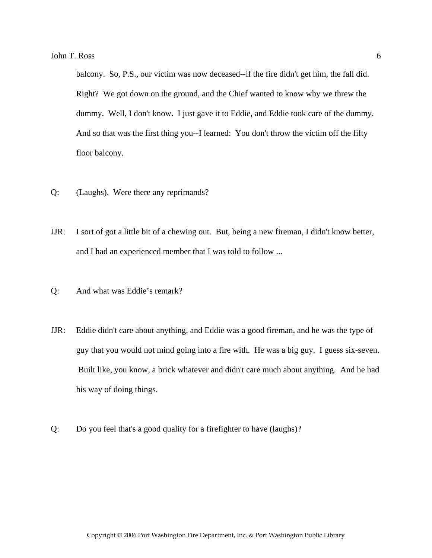balcony. So, P.S., our victim was now deceased--if the fire didn't get him, the fall did. Right? We got down on the ground, and the Chief wanted to know why we threw the dummy. Well, I don't know. I just gave it to Eddie, and Eddie took care of the dummy. And so that was the first thing you--I learned: You don't throw the victim off the fifty floor balcony.

- Q: (Laughs). Were there any reprimands?
- JJR: I sort of got a little bit of a chewing out. But, being a new fireman, I didn't know better, and I had an experienced member that I was told to follow ...
- Q: And what was Eddie's remark?
- JJR: Eddie didn't care about anything, and Eddie was a good fireman, and he was the type of guy that you would not mind going into a fire with. He was a big guy. I guess six-seven. Built like, you know, a brick whatever and didn't care much about anything. And he had his way of doing things.
- Q: Do you feel that's a good quality for a firefighter to have (laughs)?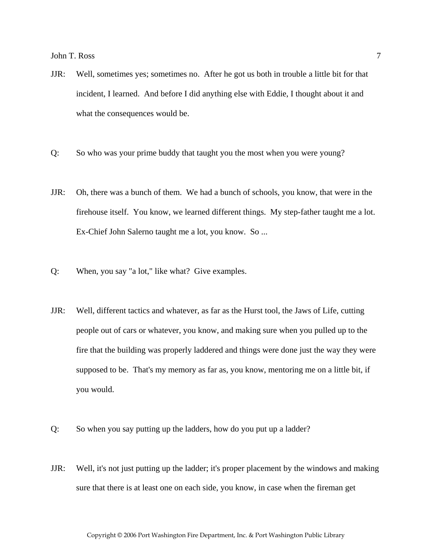- JJR: Well, sometimes yes; sometimes no. After he got us both in trouble a little bit for that incident, I learned. And before I did anything else with Eddie, I thought about it and what the consequences would be.
- Q: So who was your prime buddy that taught you the most when you were young?
- JJR: Oh, there was a bunch of them. We had a bunch of schools, you know, that were in the firehouse itself. You know, we learned different things. My step-father taught me a lot. Ex-Chief John Salerno taught me a lot, you know. So ...
- Q: When, you say "a lot," like what? Give examples.
- JJR: Well, different tactics and whatever, as far as the Hurst tool, the Jaws of Life, cutting people out of cars or whatever, you know, and making sure when you pulled up to the fire that the building was properly laddered and things were done just the way they were supposed to be. That's my memory as far as, you know, mentoring me on a little bit, if you would.
- Q: So when you say putting up the ladders, how do you put up a ladder?
- JJR: Well, it's not just putting up the ladder; it's proper placement by the windows and making sure that there is at least one on each side, you know, in case when the fireman get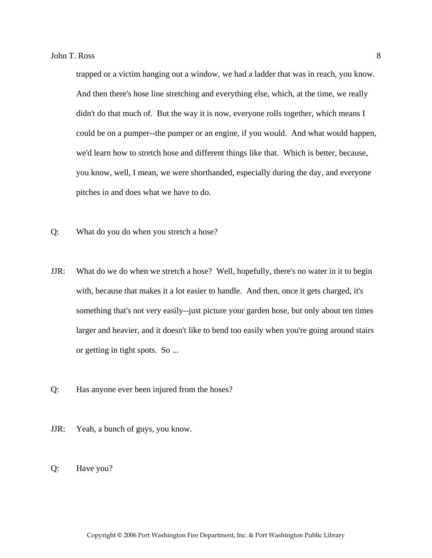trapped or a victim hanging out a window, we had a ladder that was in reach, you know. And then there's hose line stretching and everything else, which, at the time, we really didn't do that much of. But the way it is now, everyone rolls together, which means I could be on a pumper--the pumper or an engine, if you would. And what would happen, we'd learn how to stretch hose and different things like that. Which is better, because, you know, well, I mean, we were shorthanded, especially during the day, and everyone pitches in and does what we have to do.

- Q: What do you do when you stretch a hose?
- JJR: What do we do when we stretch a hose? Well, hopefully, there's no water in it to begin with, because that makes it a lot easier to handle. And then, once it gets charged, it's something that's not very easily--just picture your garden hose, but only about ten times larger and heavier, and it doesn't like to bend too easily when you're going around stairs or getting in tight spots. So ...
- Q: Has anyone ever been injured from the hoses?
- JJR: Yeah, a bunch of guys, you know.
- Q: Have you?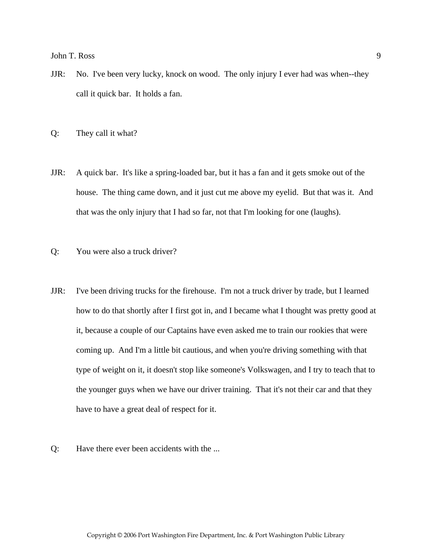- JJR: No. I've been very lucky, knock on wood. The only injury I ever had was when--they call it quick bar. It holds a fan.
- Q: They call it what?
- JJR: A quick bar. It's like a spring-loaded bar, but it has a fan and it gets smoke out of the house. The thing came down, and it just cut me above my eyelid. But that was it. And that was the only injury that I had so far, not that I'm looking for one (laughs).
- Q: You were also a truck driver?
- JJR: I've been driving trucks for the firehouse. I'm not a truck driver by trade, but I learned how to do that shortly after I first got in, and I became what I thought was pretty good at it, because a couple of our Captains have even asked me to train our rookies that were coming up. And I'm a little bit cautious, and when you're driving something with that type of weight on it, it doesn't stop like someone's Volkswagen, and I try to teach that to the younger guys when we have our driver training. That it's not their car and that they have to have a great deal of respect for it.
- Q: Have there ever been accidents with the ...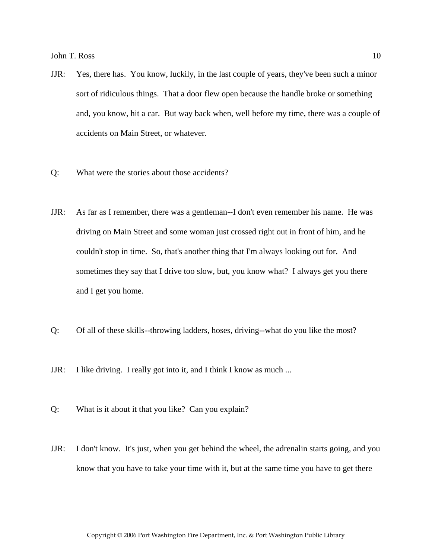- JJR: Yes, there has. You know, luckily, in the last couple of years, they've been such a minor sort of ridiculous things. That a door flew open because the handle broke or something and, you know, hit a car. But way back when, well before my time, there was a couple of accidents on Main Street, or whatever.
- Q: What were the stories about those accidents?
- JJR: As far as I remember, there was a gentleman--I don't even remember his name. He was driving on Main Street and some woman just crossed right out in front of him, and he couldn't stop in time. So, that's another thing that I'm always looking out for. And sometimes they say that I drive too slow, but, you know what? I always get you there and I get you home.
- Q: Of all of these skills--throwing ladders, hoses, driving--what do you like the most?
- JJR: I like driving. I really got into it, and I think I know as much ...
- Q: What is it about it that you like? Can you explain?
- JJR: I don't know. It's just, when you get behind the wheel, the adrenalin starts going, and you know that you have to take your time with it, but at the same time you have to get there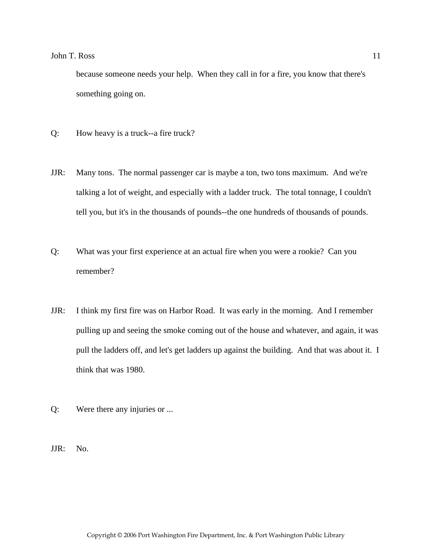because someone needs your help. When they call in for a fire, you know that there's something going on.

- Q: How heavy is a truck--a fire truck?
- JJR: Many tons. The normal passenger car is maybe a ton, two tons maximum. And we're talking a lot of weight, and especially with a ladder truck. The total tonnage, I couldn't tell you, but it's in the thousands of pounds--the one hundreds of thousands of pounds.
- Q: What was your first experience at an actual fire when you were a rookie? Can you remember?
- JJR: I think my first fire was on Harbor Road. It was early in the morning. And I remember pulling up and seeing the smoke coming out of the house and whatever, and again, it was pull the ladders off, and let's get ladders up against the building. And that was about it. I think that was 1980.
- Q: Were there any injuries or ...
- JJR: No.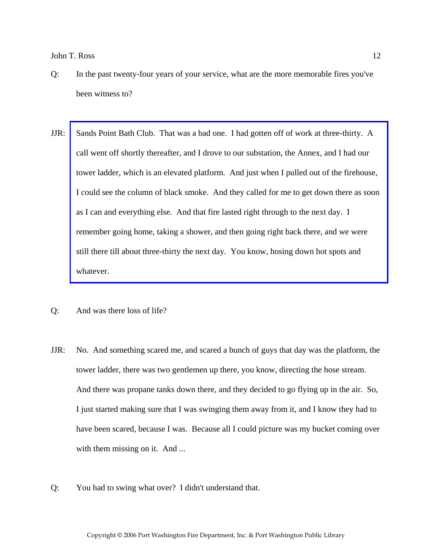- Q: In the past twenty-four years of your service, what are the more memorable fires you've been witness to?
- JJR: [Sands Point Bath Club. That was a bad one. I had gotten off of work at three-thirty. A](http://www.pwfdhistory.com/trans/rossj_trans/spbathclb_pz_web.pdf)  call went off shortly thereafter, and I drove to our substation, the Annex, and I had our tower ladder, which is an elevated platform. And just when I pulled out of the firehouse, I could see the column of black smoke. And they called for me to get down there as soon as I can and everything else. And that fire lasted right through to the next day. I remember going home, taking a shower, and then going right back there, and we were still there till about three-thirty the next day. You know, hosing down hot spots and whatever.
- Q: And was there loss of life?
- JJR: No. And something scared me, and scared a bunch of guys that day was the platform, the tower ladder, there was two gentlemen up there, you know, directing the hose stream. And there was propane tanks down there, and they decided to go flying up in the air. So, I just started making sure that I was swinging them away from it, and I know they had to have been scared, because I was. Because all I could picture was my bucket coming over with them missing on it. And ...
- Q: You had to swing what over? I didn't understand that.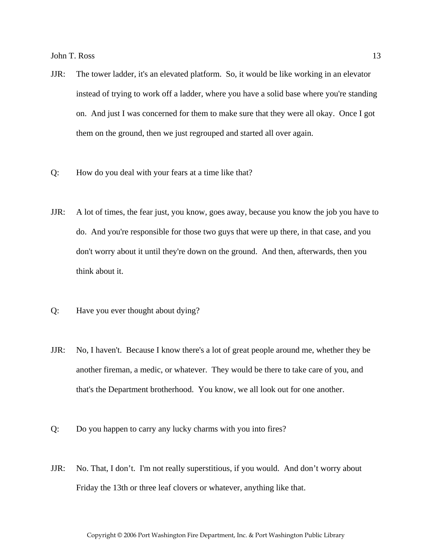- JJR: The tower ladder, it's an elevated platform. So, it would be like working in an elevator instead of trying to work off a ladder, where you have a solid base where you're standing on. And just I was concerned for them to make sure that they were all okay. Once I got them on the ground, then we just regrouped and started all over again.
- Q: How do you deal with your fears at a time like that?
- JJR: A lot of times, the fear just, you know, goes away, because you know the job you have to do. And you're responsible for those two guys that were up there, in that case, and you don't worry about it until they're down on the ground. And then, afterwards, then you think about it.
- Q: Have you ever thought about dying?
- JJR: No, I haven't. Because I know there's a lot of great people around me, whether they be another fireman, a medic, or whatever. They would be there to take care of you, and that's the Department brotherhood. You know, we all look out for one another.
- Q: Do you happen to carry any lucky charms with you into fires?
- JJR: No. That, I don't. I'm not really superstitious, if you would. And don't worry about Friday the 13th or three leaf clovers or whatever, anything like that.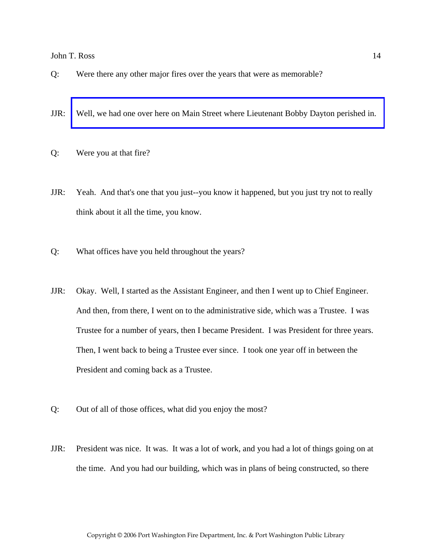- Q: Were there any other major fires over the years that were as memorable?
- JJR: [Well, we had one over here on Main Street where Lieutenant Bobby Dayton perished in.](http://www.pwfdhistory.com/trans/rossj_trans/pnews881201_pz.pdf)
- Q: Were you at that fire?
- JJR: Yeah. And that's one that you just--you know it happened, but you just try not to really think about it all the time, you know.
- Q: What offices have you held throughout the years?
- JJR: Okay. Well, I started as the Assistant Engineer, and then I went up to Chief Engineer. And then, from there, I went on to the administrative side, which was a Trustee. I was Trustee for a number of years, then I became President. I was President for three years. Then, I went back to being a Trustee ever since. I took one year off in between the President and coming back as a Trustee.
- Q: Out of all of those offices, what did you enjoy the most?
- JJR: President was nice. It was. It was a lot of work, and you had a lot of things going on at the time. And you had our building, which was in plans of being constructed, so there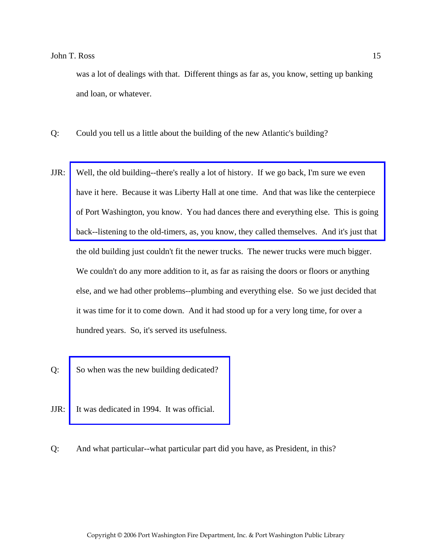was a lot of dealings with that. Different things as far as, you know, setting up banking and loan, or whatever.

- Q: Could you tell us a little about the building of the new Atlantic's building?
- JJR: Well, the old building--there's really a lot of history. If we go back, I'm sure we even have it here. Because it was Liberty Hall at one time. And that was like the centerpiece [of Port Washington, you know. You had dances there and everything else. This is going](http://www.pwfdhistory.com/trans/rossj_trans/ahlco_bldg05_web.jpg)  back--listening to the old-timers, as, you know, they called themselves. And it's just that the old building just couldn't fit the newer trucks. The newer trucks were much bigger. We couldn't do any more addition to it, as far as raising the doors or floors or anything else, and we had other problems--plumbing and everything else. So we just decided that it was time for it to come down. And it had stood up for a very long time, for over a hundred years. So, it's served its usefulness.
- Q: [So when was the new building dedicated?](http://www.pwfdhistory.com/trans/rossj_trans/ahlco_bldg03_web.jpg)
- JJR: It was dedicated in 1994. It was official.

Q: And what particular--what particular part did you have, as President, in this?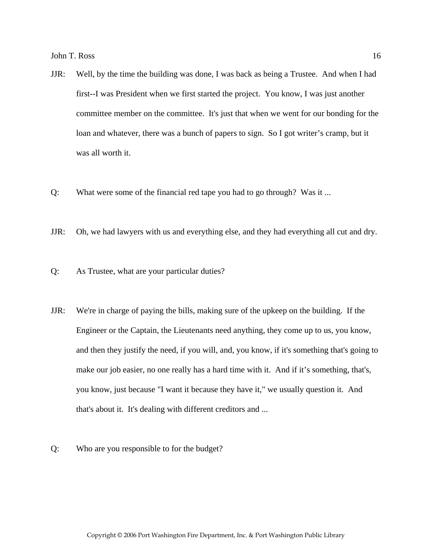- JJR: Well, by the time the building was done, I was back as being a Trustee. And when I had first--I was President when we first started the project. You know, I was just another committee member on the committee. It's just that when we went for our bonding for the loan and whatever, there was a bunch of papers to sign. So I got writer's cramp, but it was all worth it.
- Q: What were some of the financial red tape you had to go through? Was it ...
- JJR: Oh, we had lawyers with us and everything else, and they had everything all cut and dry.
- Q: As Trustee, what are your particular duties?
- JJR: We're in charge of paying the bills, making sure of the upkeep on the building. If the Engineer or the Captain, the Lieutenants need anything, they come up to us, you know, and then they justify the need, if you will, and, you know, if it's something that's going to make our job easier, no one really has a hard time with it. And if it's something, that's, you know, just because "I want it because they have it," we usually question it. And that's about it. It's dealing with different creditors and ...
- Q: Who are you responsible to for the budget?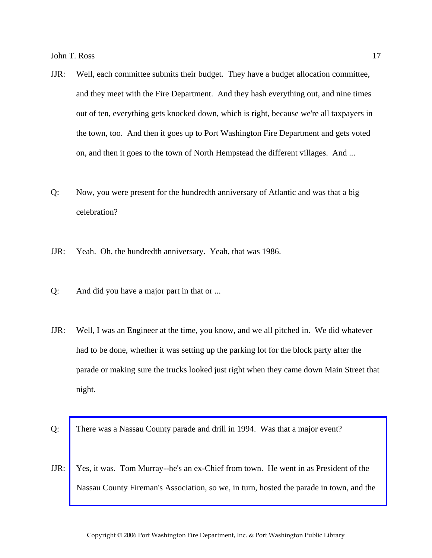- JJR: Well, each committee submits their budget. They have a budget allocation committee, and they meet with the Fire Department. And they hash everything out, and nine times out of ten, everything gets knocked down, which is right, because we're all taxpayers in the town, too. And then it goes up to Port Washington Fire Department and gets voted on, and then it goes to the town of North Hempstead the different villages. And ...
- Q: Now, you were present for the hundredth anniversary of Atlantic and was that a big celebration?
- JJR: Yeah. Oh, the hundredth anniversary. Yeah, that was 1986.
- Q: And did you have a major part in that or ...
- JJR: Well, I was an Engineer at the time, you know, and we all pitched in. We did whatever had to be done, whether it was setting up the parking lot for the block party after the parade or making sure the trucks looked just right when they came down Main Street that night.
- Q: There was a Nassau County parade and drill in 1994. Was that a major event?
- JJR: [Yes, it was. Tom Murray--he's an ex-Chief from town. He went in as President of the](http://www.pwfdhistory.com/trans/rossj_trans/psent_940708_hw_web.pdf)  Nassau County Fireman's Association, so we, in turn, hosted the parade in town, and the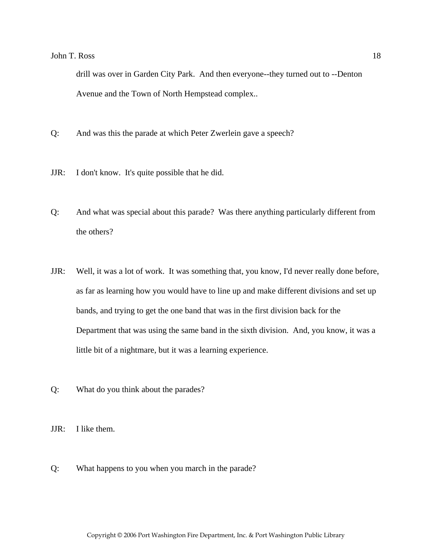drill was over in Garden City Park. And then everyone--they turned out to --Denton Avenue and the Town of North Hempstead complex..

- Q: And was this the parade at which Peter Zwerlein gave a speech?
- JJR: I don't know. It's quite possible that he did.
- Q: And what was special about this parade? Was there anything particularly different from the others?
- JJR: Well, it was a lot of work. It was something that, you know, I'd never really done before, as far as learning how you would have to line up and make different divisions and set up bands, and trying to get the one band that was in the first division back for the Department that was using the same band in the sixth division. And, you know, it was a little bit of a nightmare, but it was a learning experience.
- Q: What do you think about the parades?

JJR: I like them.

Q: What happens to you when you march in the parade?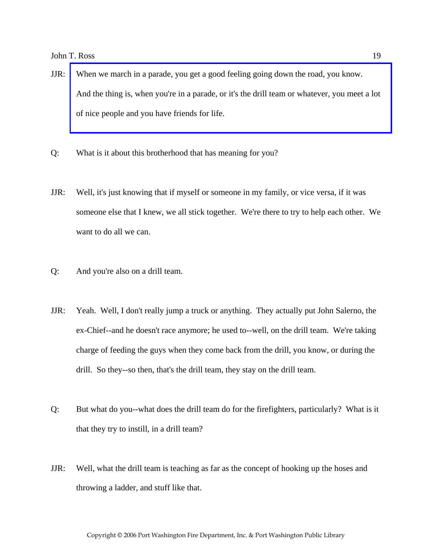- JJR: When we march in a parade, you get a good feeling going down the road, you know. [And the thing is, when you're in a parade, or it's the drill team or whatever, you meet a lot](http://www.pwfdhistory.com/trans/rossj_trans/ahlco_parade05_web2.jpg)  of nice people and you have friends for life.
- Q: What is it about this brotherhood that has meaning for you?
- JJR: Well, it's just knowing that if myself or someone in my family, or vice versa, if it was someone else that I knew, we all stick together. We're there to try to help each other. We want to do all we can.
- Q: And you're also on a drill team.
- JJR: Yeah. Well, I don't really jump a truck or anything. They actually put John Salerno, the ex-Chief--and he doesn't race anymore; he used to--well, on the drill team. We're taking charge of feeding the guys when they come back from the drill, you know, or during the drill. So they--so then, that's the drill team, they stay on the drill team.
- Q: But what do you--what does the drill team do for the firefighters, particularly? What is it that they try to instill, in a drill team?
- JJR: Well, what the drill team is teaching as far as the concept of hooking up the hoses and throwing a ladder, and stuff like that.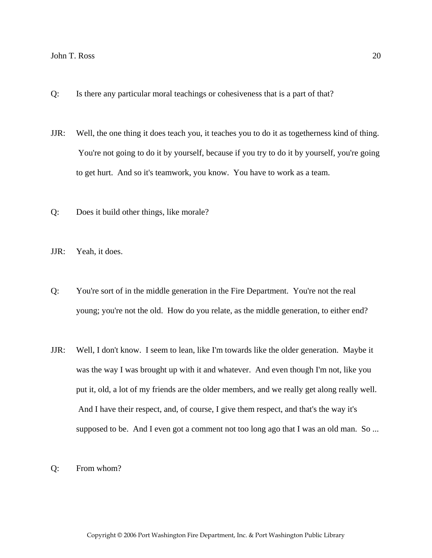- Q: Is there any particular moral teachings or cohesiveness that is a part of that?
- JJR: Well, the one thing it does teach you, it teaches you to do it as togetherness kind of thing. You're not going to do it by yourself, because if you try to do it by yourself, you're going to get hurt. And so it's teamwork, you know. You have to work as a team.
- Q: Does it build other things, like morale?

JJR: Yeah, it does.

- Q: You're sort of in the middle generation in the Fire Department. You're not the real young; you're not the old. How do you relate, as the middle generation, to either end?
- JJR: Well, I don't know. I seem to lean, like I'm towards like the older generation. Maybe it was the way I was brought up with it and whatever. And even though I'm not, like you put it, old, a lot of my friends are the older members, and we really get along really well. And I have their respect, and, of course, I give them respect, and that's the way it's supposed to be. And I even got a comment not too long ago that I was an old man. So ...
- Q: From whom?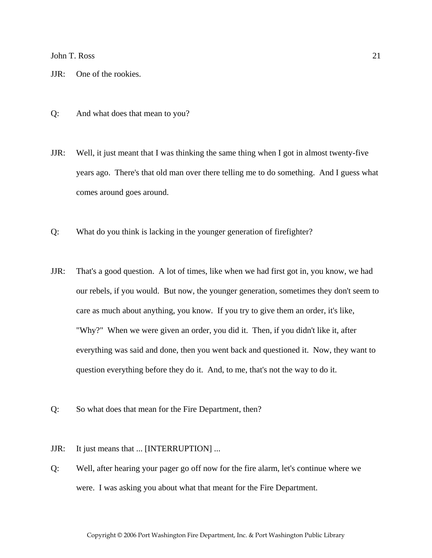JJR: One of the rookies.

- Q: And what does that mean to you?
- JJR: Well, it just meant that I was thinking the same thing when I got in almost twenty-five years ago. There's that old man over there telling me to do something. And I guess what comes around goes around.
- Q: What do you think is lacking in the younger generation of firefighter?
- JJR: That's a good question. A lot of times, like when we had first got in, you know, we had our rebels, if you would. But now, the younger generation, sometimes they don't seem to care as much about anything, you know. If you try to give them an order, it's like, "Why?" When we were given an order, you did it. Then, if you didn't like it, after everything was said and done, then you went back and questioned it. Now, they want to question everything before they do it. And, to me, that's not the way to do it.
- Q: So what does that mean for the Fire Department, then?
- JJR: It just means that ... [INTERRUPTION] ...
- Q: Well, after hearing your pager go off now for the fire alarm, let's continue where we were. I was asking you about what that meant for the Fire Department.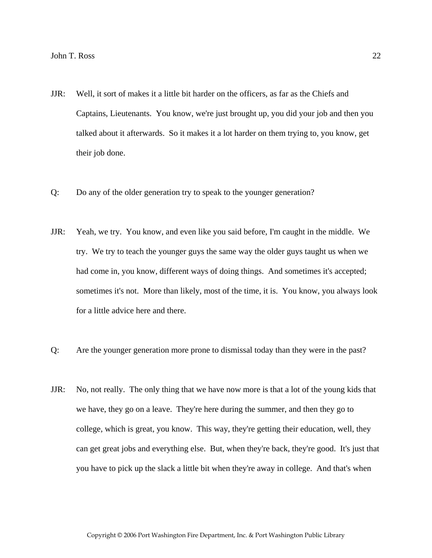- JJR: Well, it sort of makes it a little bit harder on the officers, as far as the Chiefs and Captains, Lieutenants. You know, we're just brought up, you did your job and then you talked about it afterwards. So it makes it a lot harder on them trying to, you know, get their job done.
- Q: Do any of the older generation try to speak to the younger generation?
- JJR: Yeah, we try. You know, and even like you said before, I'm caught in the middle. We try. We try to teach the younger guys the same way the older guys taught us when we had come in, you know, different ways of doing things. And sometimes it's accepted; sometimes it's not. More than likely, most of the time, it is. You know, you always look for a little advice here and there.
- Q: Are the younger generation more prone to dismissal today than they were in the past?
- JJR: No, not really. The only thing that we have now more is that a lot of the young kids that we have, they go on a leave. They're here during the summer, and then they go to college, which is great, you know. This way, they're getting their education, well, they can get great jobs and everything else. But, when they're back, they're good. It's just that you have to pick up the slack a little bit when they're away in college. And that's when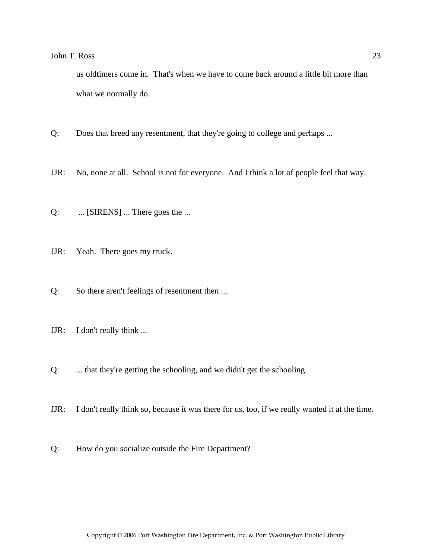us oldtimers come in. That's when we have to come back around a little bit more than what we normally do.

- Q: Does that breed any resentment, that they're going to college and perhaps ...
- JJR: No, none at all. School is not for everyone. And I think a lot of people feel that way.
- Q: ... [SIRENS] ... There goes the ...
- JJR: Yeah. There goes my truck.
- Q: So there aren't feelings of resentment then ...
- JJR: I don't really think ...
- Q: ... that they're getting the schooling, and we didn't get the schooling.
- JJR: I don't really think so, because it was there for us, too, if we really wanted it at the time.
- Q: How do you socialize outside the Fire Department?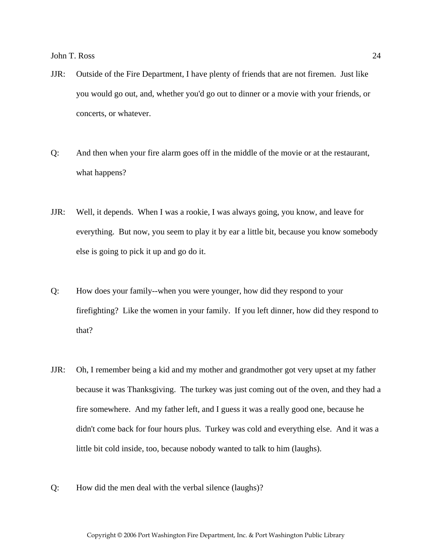- JJR: Outside of the Fire Department, I have plenty of friends that are not firemen. Just like you would go out, and, whether you'd go out to dinner or a movie with your friends, or concerts, or whatever.
- Q: And then when your fire alarm goes off in the middle of the movie or at the restaurant, what happens?
- JJR: Well, it depends. When I was a rookie, I was always going, you know, and leave for everything. But now, you seem to play it by ear a little bit, because you know somebody else is going to pick it up and go do it.
- Q: How does your family--when you were younger, how did they respond to your firefighting? Like the women in your family. If you left dinner, how did they respond to that?
- JJR: Oh, I remember being a kid and my mother and grandmother got very upset at my father because it was Thanksgiving. The turkey was just coming out of the oven, and they had a fire somewhere. And my father left, and I guess it was a really good one, because he didn't come back for four hours plus. Turkey was cold and everything else. And it was a little bit cold inside, too, because nobody wanted to talk to him (laughs).
- Q: How did the men deal with the verbal silence (laughs)?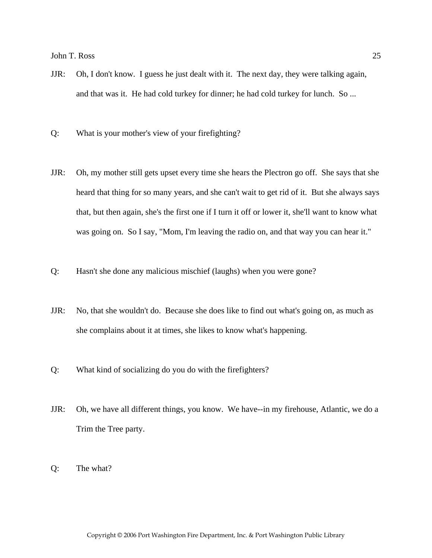- JJR: Oh, I don't know. I guess he just dealt with it. The next day, they were talking again, and that was it. He had cold turkey for dinner; he had cold turkey for lunch. So ...
- Q: What is your mother's view of your firefighting?
- JJR: Oh, my mother still gets upset every time she hears the Plectron go off. She says that she heard that thing for so many years, and she can't wait to get rid of it. But she always says that, but then again, she's the first one if I turn it off or lower it, she'll want to know what was going on. So I say, "Mom, I'm leaving the radio on, and that way you can hear it."
- Q: Hasn't she done any malicious mischief (laughs) when you were gone?
- JJR: No, that she wouldn't do. Because she does like to find out what's going on, as much as she complains about it at times, she likes to know what's happening.
- Q: What kind of socializing do you do with the firefighters?
- JJR: Oh, we have all different things, you know. We have--in my firehouse, Atlantic, we do a Trim the Tree party.
- Q: The what?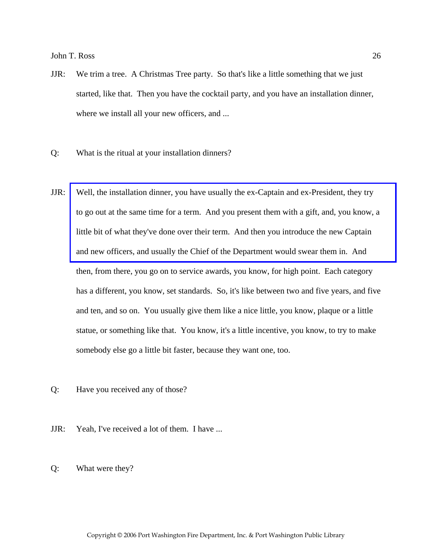- JJR: We trim a tree. A Christmas Tree party. So that's like a little something that we just started, like that. Then you have the cocktail party, and you have an installation dinner, where we install all your new officers, and ...
- Q: What is the ritual at your installation dinners?
- JJR: [Well, the installation dinner, you have usually the ex-Captain and ex-President, they try](http://www.pwfdhistory.com/trans/rossj_trans/ahlco_officers02_web.jpg)  to go out at the same time for a term. And you present them with a gift, and, you know, a little bit of what they've done over their term. And then you introduce the new Captain and new officers, and usually the Chief of the Department would swear them in. And then, from there, you go on to service awards, you know, for high point. Each category has a different, you know, set standards. So, it's like between two and five years, and five and ten, and so on. You usually give them like a nice little, you know, plaque or a little statue, or something like that. You know, it's a little incentive, you know, to try to make somebody else go a little bit faster, because they want one, too.
- Q: Have you received any of those?
- JJR: Yeah, I've received a lot of them. I have ...
- Q: What were they?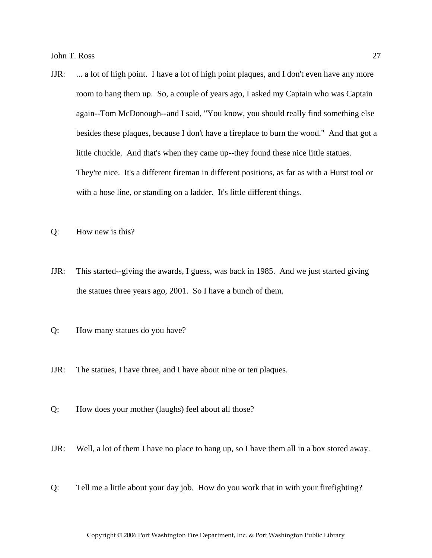- JJR: ... a lot of high point. I have a lot of high point plaques, and I don't even have any more room to hang them up. So, a couple of years ago, I asked my Captain who was Captain again--Tom McDonough--and I said, "You know, you should really find something else besides these plaques, because I don't have a fireplace to burn the wood." And that got a little chuckle. And that's when they came up--they found these nice little statues. They're nice. It's a different fireman in different positions, as far as with a Hurst tool or with a hose line, or standing on a ladder. It's little different things.
- Q: How new is this?
- JJR: This started--giving the awards, I guess, was back in 1985. And we just started giving the statues three years ago, 2001. So I have a bunch of them.
- Q: How many statues do you have?
- JJR: The statues, I have three, and I have about nine or ten plaques.
- Q: How does your mother (laughs) feel about all those?
- JJR: Well, a lot of them I have no place to hang up, so I have them all in a box stored away.
- Q: Tell me a little about your day job. How do you work that in with your firefighting?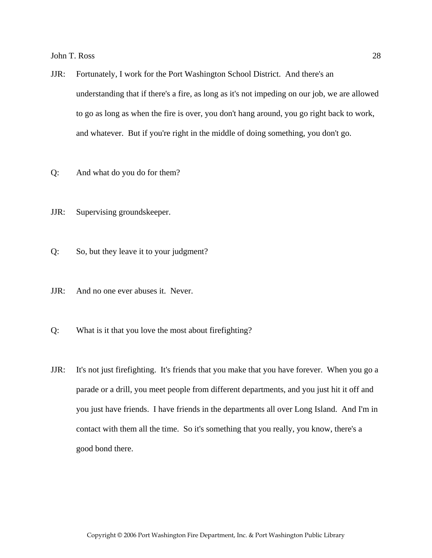- JJR: Fortunately, I work for the Port Washington School District. And there's an understanding that if there's a fire, as long as it's not impeding on our job, we are allowed to go as long as when the fire is over, you don't hang around, you go right back to work, and whatever. But if you're right in the middle of doing something, you don't go.
- Q: And what do you do for them?
- JJR: Supervising groundskeeper.
- Q: So, but they leave it to your judgment?
- JJR: And no one ever abuses it. Never.
- Q: What is it that you love the most about firefighting?
- JJR: It's not just firefighting. It's friends that you make that you have forever. When you go a parade or a drill, you meet people from different departments, and you just hit it off and you just have friends. I have friends in the departments all over Long Island. And I'm in contact with them all the time. So it's something that you really, you know, there's a good bond there.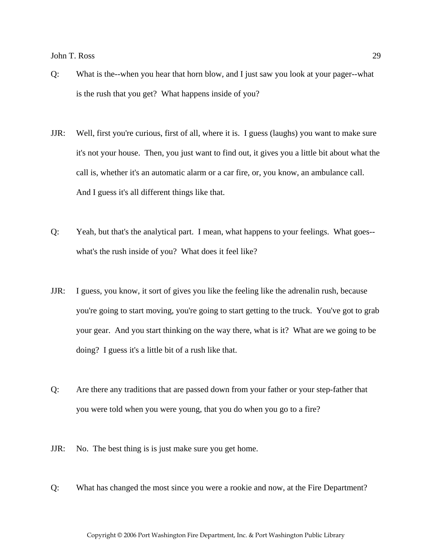- Q: What is the--when you hear that horn blow, and I just saw you look at your pager--what is the rush that you get? What happens inside of you?
- JJR: Well, first you're curious, first of all, where it is. I guess (laughs) you want to make sure it's not your house. Then, you just want to find out, it gives you a little bit about what the call is, whether it's an automatic alarm or a car fire, or, you know, an ambulance call. And I guess it's all different things like that.
- Q: Yeah, but that's the analytical part. I mean, what happens to your feelings. What goes- what's the rush inside of you? What does it feel like?
- JJR: I guess, you know, it sort of gives you like the feeling like the adrenalin rush, because you're going to start moving, you're going to start getting to the truck. You've got to grab your gear. And you start thinking on the way there, what is it? What are we going to be doing? I guess it's a little bit of a rush like that.
- Q: Are there any traditions that are passed down from your father or your step-father that you were told when you were young, that you do when you go to a fire?
- JJR: No. The best thing is is just make sure you get home.
- Q: What has changed the most since you were a rookie and now, at the Fire Department?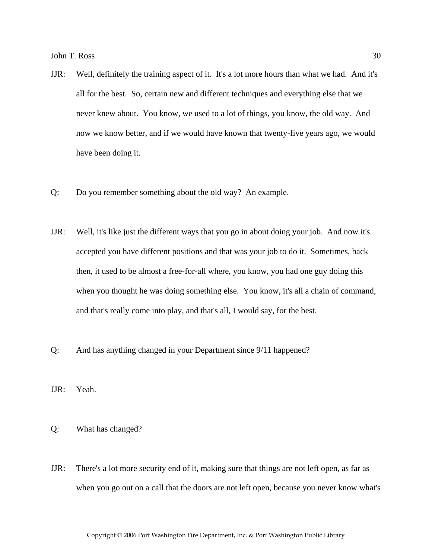- JJR: Well, definitely the training aspect of it. It's a lot more hours than what we had. And it's all for the best. So, certain new and different techniques and everything else that we never knew about. You know, we used to a lot of things, you know, the old way. And now we know better, and if we would have known that twenty-five years ago, we would have been doing it.
- Q: Do you remember something about the old way? An example.
- JJR: Well, it's like just the different ways that you go in about doing your job. And now it's accepted you have different positions and that was your job to do it. Sometimes, back then, it used to be almost a free-for-all where, you know, you had one guy doing this when you thought he was doing something else. You know, it's all a chain of command, and that's really come into play, and that's all, I would say, for the best.
- Q: And has anything changed in your Department since 9/11 happened?
- JJR: Yeah.
- Q: What has changed?
- JJR: There's a lot more security end of it, making sure that things are not left open, as far as when you go out on a call that the doors are not left open, because you never know what's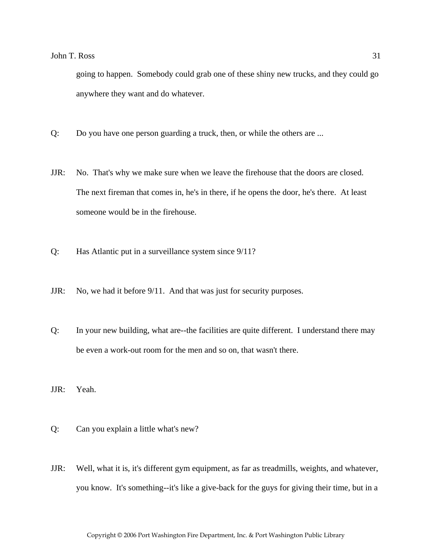going to happen. Somebody could grab one of these shiny new trucks, and they could go anywhere they want and do whatever.

- Q: Do you have one person guarding a truck, then, or while the others are ...
- JJR: No. That's why we make sure when we leave the firehouse that the doors are closed. The next fireman that comes in, he's in there, if he opens the door, he's there. At least someone would be in the firehouse.
- Q: Has Atlantic put in a surveillance system since 9/11?
- JJR: No, we had it before 9/11. And that was just for security purposes.
- Q: In your new building, what are--the facilities are quite different. I understand there may be even a work-out room for the men and so on, that wasn't there.
- JJR: Yeah.
- Q: Can you explain a little what's new?
- JJR: Well, what it is, it's different gym equipment, as far as treadmills, weights, and whatever, you know. It's something--it's like a give-back for the guys for giving their time, but in a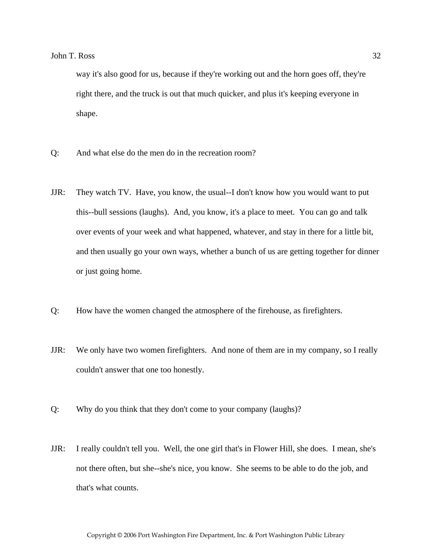way it's also good for us, because if they're working out and the horn goes off, they're right there, and the truck is out that much quicker, and plus it's keeping everyone in shape.

- Q: And what else do the men do in the recreation room?
- JJR: They watch TV. Have, you know, the usual--I don't know how you would want to put this--bull sessions (laughs). And, you know, it's a place to meet. You can go and talk over events of your week and what happened, whatever, and stay in there for a little bit, and then usually go your own ways, whether a bunch of us are getting together for dinner or just going home.
- Q: How have the women changed the atmosphere of the firehouse, as firefighters.
- JJR: We only have two women firefighters. And none of them are in my company, so I really couldn't answer that one too honestly.
- Q: Why do you think that they don't come to your company (laughs)?
- JJR: I really couldn't tell you. Well, the one girl that's in Flower Hill, she does. I mean, she's not there often, but she--she's nice, you know. She seems to be able to do the job, and that's what counts.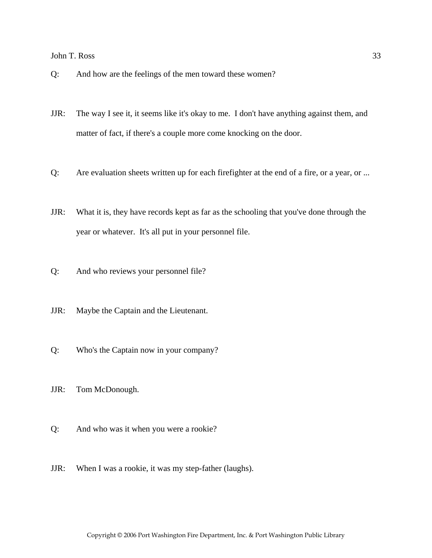- Q: And how are the feelings of the men toward these women?
- JJR: The way I see it, it seems like it's okay to me. I don't have anything against them, and matter of fact, if there's a couple more come knocking on the door.
- Q: Are evaluation sheets written up for each firefighter at the end of a fire, or a year, or ...
- JJR: What it is, they have records kept as far as the schooling that you've done through the year or whatever. It's all put in your personnel file.
- Q: And who reviews your personnel file?
- JJR: Maybe the Captain and the Lieutenant.
- Q: Who's the Captain now in your company?
- JJR: Tom McDonough.
- Q: And who was it when you were a rookie?
- JJR: When I was a rookie, it was my step-father (laughs).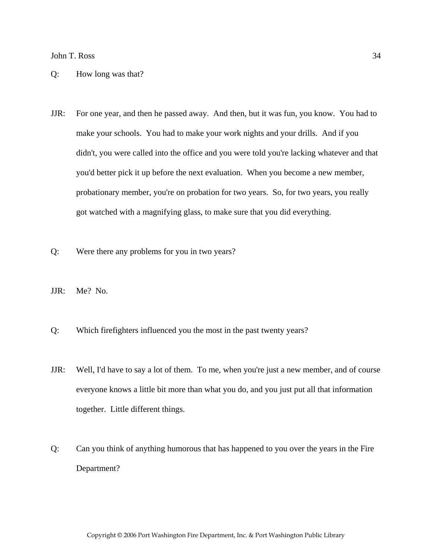#### Q: How long was that?

- JJR: For one year, and then he passed away. And then, but it was fun, you know. You had to make your schools. You had to make your work nights and your drills. And if you didn't, you were called into the office and you were told you're lacking whatever and that you'd better pick it up before the next evaluation. When you become a new member, probationary member, you're on probation for two years. So, for two years, you really got watched with a magnifying glass, to make sure that you did everything.
- Q: Were there any problems for you in two years?
- JJR: Me? No.
- Q: Which firefighters influenced you the most in the past twenty years?
- JJR: Well, I'd have to say a lot of them. To me, when you're just a new member, and of course everyone knows a little bit more than what you do, and you just put all that information together. Little different things.
- Q: Can you think of anything humorous that has happened to you over the years in the Fire Department?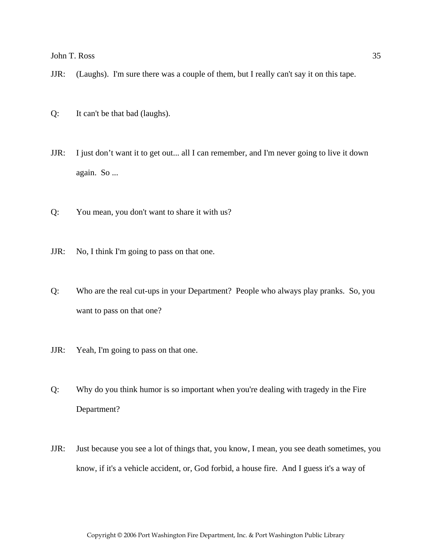- JJR: (Laughs). I'm sure there was a couple of them, but I really can't say it on this tape.
- Q: It can't be that bad (laughs).
- JJR: I just don't want it to get out... all I can remember, and I'm never going to live it down again. So ...
- Q: You mean, you don't want to share it with us?
- JJR: No, I think I'm going to pass on that one.
- Q: Who are the real cut-ups in your Department? People who always play pranks. So, you want to pass on that one?
- JJR: Yeah, I'm going to pass on that one.
- Q: Why do you think humor is so important when you're dealing with tragedy in the Fire Department?
- JJR: Just because you see a lot of things that, you know, I mean, you see death sometimes, you know, if it's a vehicle accident, or, God forbid, a house fire. And I guess it's a way of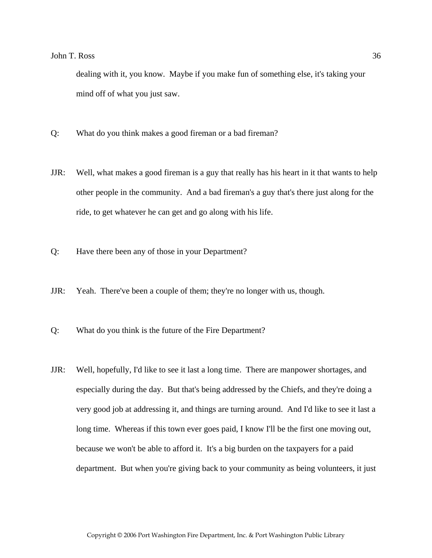dealing with it, you know. Maybe if you make fun of something else, it's taking your mind off of what you just saw.

- Q: What do you think makes a good fireman or a bad fireman?
- JJR: Well, what makes a good fireman is a guy that really has his heart in it that wants to help other people in the community. And a bad fireman's a guy that's there just along for the ride, to get whatever he can get and go along with his life.
- Q: Have there been any of those in your Department?
- JJR: Yeah. There've been a couple of them; they're no longer with us, though.
- Q: What do you think is the future of the Fire Department?
- JJR: Well, hopefully, I'd like to see it last a long time. There are manpower shortages, and especially during the day. But that's being addressed by the Chiefs, and they're doing a very good job at addressing it, and things are turning around. And I'd like to see it last a long time. Whereas if this town ever goes paid, I know I'll be the first one moving out, because we won't be able to afford it. It's a big burden on the taxpayers for a paid department. But when you're giving back to your community as being volunteers, it just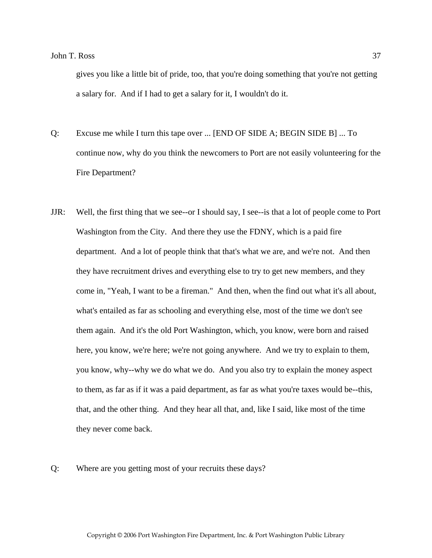gives you like a little bit of pride, too, that you're doing something that you're not getting a salary for. And if I had to get a salary for it, I wouldn't do it.

- Q: Excuse me while I turn this tape over ... [END OF SIDE A; BEGIN SIDE B] ... To continue now, why do you think the newcomers to Port are not easily volunteering for the Fire Department?
- JJR: Well, the first thing that we see--or I should say, I see--is that a lot of people come to Port Washington from the City. And there they use the FDNY, which is a paid fire department. And a lot of people think that that's what we are, and we're not. And then they have recruitment drives and everything else to try to get new members, and they come in, "Yeah, I want to be a fireman." And then, when the find out what it's all about, what's entailed as far as schooling and everything else, most of the time we don't see them again. And it's the old Port Washington, which, you know, were born and raised here, you know, we're here; we're not going anywhere. And we try to explain to them, you know, why--why we do what we do. And you also try to explain the money aspect to them, as far as if it was a paid department, as far as what you're taxes would be--this, that, and the other thing. And they hear all that, and, like I said, like most of the time they never come back.

Q: Where are you getting most of your recruits these days?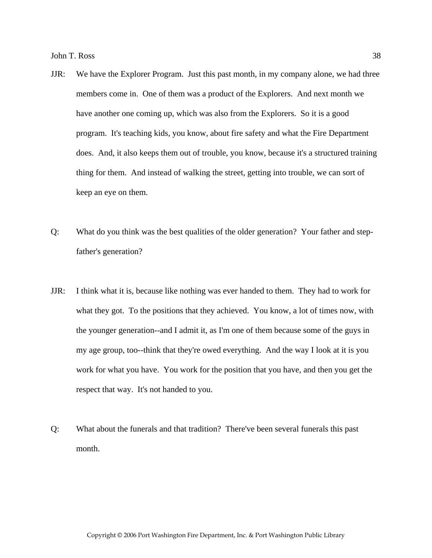- JJR: We have the Explorer Program. Just this past month, in my company alone, we had three members come in. One of them was a product of the Explorers. And next month we have another one coming up, which was also from the Explorers. So it is a good program. It's teaching kids, you know, about fire safety and what the Fire Department does. And, it also keeps them out of trouble, you know, because it's a structured training thing for them. And instead of walking the street, getting into trouble, we can sort of keep an eye on them.
- Q: What do you think was the best qualities of the older generation? Your father and stepfather's generation?
- JJR: I think what it is, because like nothing was ever handed to them. They had to work for what they got. To the positions that they achieved. You know, a lot of times now, with the younger generation--and I admit it, as I'm one of them because some of the guys in my age group, too--think that they're owed everything. And the way I look at it is you work for what you have. You work for the position that you have, and then you get the respect that way. It's not handed to you.
- Q: What about the funerals and that tradition? There've been several funerals this past month.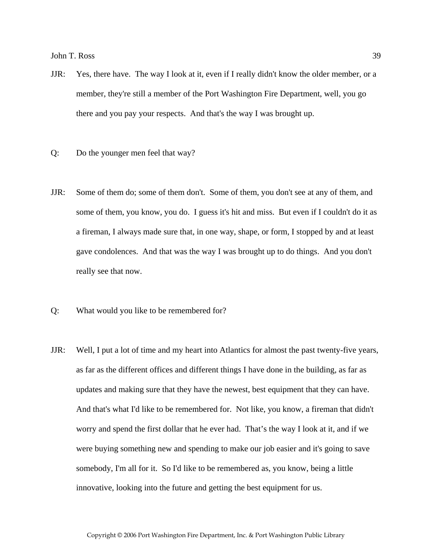- JJR: Yes, there have. The way I look at it, even if I really didn't know the older member, or a member, they're still a member of the Port Washington Fire Department, well, you go there and you pay your respects. And that's the way I was brought up.
- Q: Do the younger men feel that way?
- JJR: Some of them do; some of them don't. Some of them, you don't see at any of them, and some of them, you know, you do. I guess it's hit and miss. But even if I couldn't do it as a fireman, I always made sure that, in one way, shape, or form, I stopped by and at least gave condolences. And that was the way I was brought up to do things. And you don't really see that now.
- Q: What would you like to be remembered for?
- JJR: Well, I put a lot of time and my heart into Atlantics for almost the past twenty-five years, as far as the different offices and different things I have done in the building, as far as updates and making sure that they have the newest, best equipment that they can have. And that's what I'd like to be remembered for. Not like, you know, a fireman that didn't worry and spend the first dollar that he ever had. That's the way I look at it, and if we were buying something new and spending to make our job easier and it's going to save somebody, I'm all for it. So I'd like to be remembered as, you know, being a little innovative, looking into the future and getting the best equipment for us.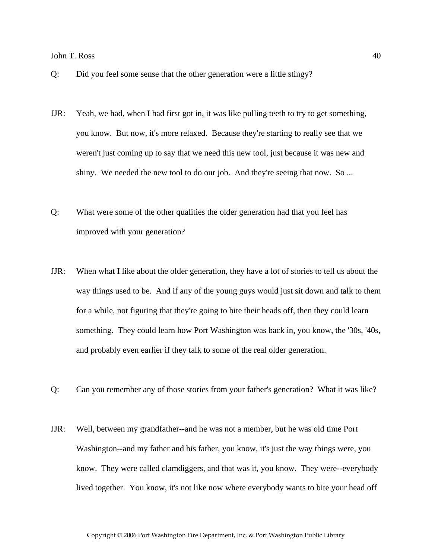- Q: Did you feel some sense that the other generation were a little stingy?
- JJR: Yeah, we had, when I had first got in, it was like pulling teeth to try to get something, you know. But now, it's more relaxed. Because they're starting to really see that we weren't just coming up to say that we need this new tool, just because it was new and shiny. We needed the new tool to do our job. And they're seeing that now. So ...
- Q: What were some of the other qualities the older generation had that you feel has improved with your generation?
- JJR: When what I like about the older generation, they have a lot of stories to tell us about the way things used to be. And if any of the young guys would just sit down and talk to them for a while, not figuring that they're going to bite their heads off, then they could learn something. They could learn how Port Washington was back in, you know, the '30s, '40s, and probably even earlier if they talk to some of the real older generation.
- Q: Can you remember any of those stories from your father's generation? What it was like?
- JJR: Well, between my grandfather--and he was not a member, but he was old time Port Washington--and my father and his father, you know, it's just the way things were, you know. They were called clamdiggers, and that was it, you know. They were--everybody lived together. You know, it's not like now where everybody wants to bite your head off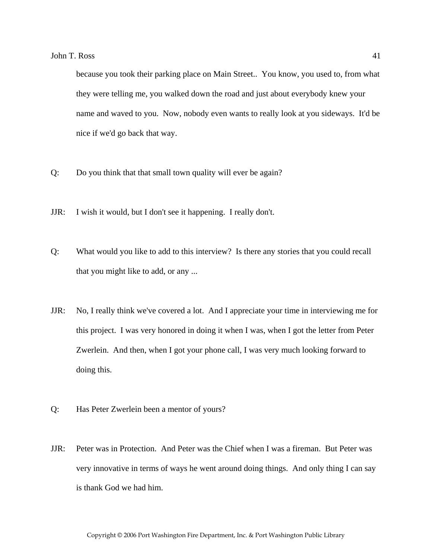because you took their parking place on Main Street.. You know, you used to, from what they were telling me, you walked down the road and just about everybody knew your name and waved to you. Now, nobody even wants to really look at you sideways. It'd be nice if we'd go back that way.

- Q: Do you think that that small town quality will ever be again?
- JJR: I wish it would, but I don't see it happening. I really don't.
- Q: What would you like to add to this interview? Is there any stories that you could recall that you might like to add, or any ...
- JJR: No, I really think we've covered a lot. And I appreciate your time in interviewing me for this project. I was very honored in doing it when I was, when I got the letter from Peter Zwerlein. And then, when I got your phone call, I was very much looking forward to doing this.
- Q: Has Peter Zwerlein been a mentor of yours?
- JJR: Peter was in Protection. And Peter was the Chief when I was a fireman. But Peter was very innovative in terms of ways he went around doing things. And only thing I can say is thank God we had him.